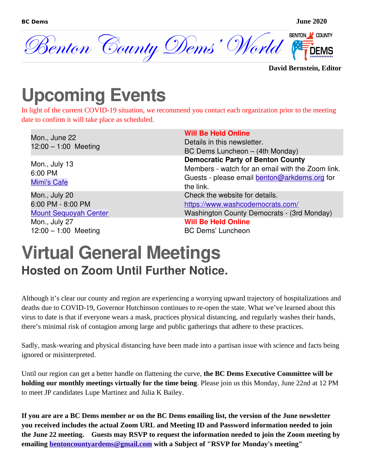

#### **David Bernstein, Editor**

## **Upcoming Events**

In light of the current COVID-19 situation, we recommend you contact each organization prior to the meeting date to confirm it will take place as scheduled.

| Mon., June 22<br>$12:00 - 1:00$ Meeting                                                                       | <b>Will Be Held Online</b><br>Details in this newsletter.<br>BC Dems Luncheon - (4th Monday)                                                                               |
|---------------------------------------------------------------------------------------------------------------|----------------------------------------------------------------------------------------------------------------------------------------------------------------------------|
| Mon., July 13<br>6:00 PM<br><b>Mimi's Cafe</b>                                                                | <b>Democratic Party of Benton County</b><br>Members - watch for an email with the Zoom link.<br>Guests - please email benton@arkdems.org for<br>the link.                  |
| Mon., July 20<br>6:00 PM - 8:00 PM<br><b>Mount Sequoyah Center</b><br>Mon., July 27<br>$12:00 - 1:00$ Meeting | Check the website for details.<br>https://www.washcodemocrats.com/<br>Washington County Democrats - (3rd Monday)<br><b>Will Be Held Online</b><br><b>BC Dems' Luncheon</b> |

#### **Virtual General Meetings Hosted on Zoom Until Further Notice.**

Although it's clear our county and region are experiencing a worrying upward trajectory of hospitalizations and deaths due to COVID-19, Governor Hutchinson continues to re-open the state. What we've learned about this virus to date is that if everyone wears a mask, practices physical distancing, and regularly washes their hands, there's minimal risk of contagion among large and public gatherings that adhere to these practices.

Sadly, mask-wearing and physical distancing have been made into a partisan issue with science and facts being ignored or misinterpreted.

Until our region can get a better handle on flattening the curve, **the BC Dems Executive Committee will be holding our monthly meetings virtually for the time being**. Please join us this Monday, June 22nd at 12 PM to meet JP candidates Lupe Martinez and Julia K Bailey.

**If you are are a BC Dems member or on the BC Dems emailing list, the version of the June newsletter you received includes the actual Zoom URL and Meeting ID and Password information needed to join the June 22 meeting. Guests may RSVP to request the information needed to join the Zoom meeting by emailing [bentoncountyardems@gmail.com](mailto:bentoncountyardems@gmail.com?subject=My%20RSVP%20for%20Monday) with a Subject of "RSVP for Monday's meeting"**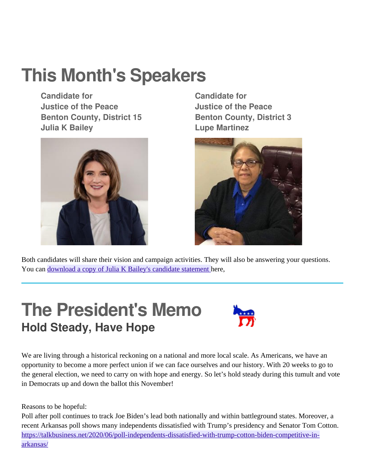# **This Month's Speakers**

**Candidate for Justice of the Peace Benton County, District 15 Julia K Bailey**



**Candidate for Justice of the Peace Benton County, District 3 Lupe Martinez**



Both candidates will share their vision and campaign activities. They will also be answering your questions. You can [download a copy of Julia K Bailey's candidate statement h](https://mcusercontent.com/164e810601a013c180cabf0d7/files/873b26ef-b346-4c4b-b925-6c06b1d1f6a0/Julia_K_Bailey_Candidate_Statement.pdf)ere,

### **The President's Memo Hold Steady, Have Hope**



We are living through a historical reckoning on a national and more local scale. As Americans, we have an opportunity to become a more perfect union if we can face ourselves and our history. With 20 weeks to go to the general election, we need to carry on with hope and energy. So let's hold steady during this tumult and vote in Democrats up and down the ballot this November!

Reasons to be hopeful:

Poll after poll continues to track Joe Biden's lead both nationally and within battleground states. Moreover, a recent Arkansas poll shows many independents dissatisfied with Trump's presidency and Senator Tom Cotton. [https://talkbusiness.net/2020/06/poll-independents-dissatisfied-with-trump-cotton-biden-competitive-in](https://talkbusiness.net/2020/06/poll-independents-dissatisfied-with-trump-cotton-biden-competitive-in-arkansas/)[arkansas/](https://talkbusiness.net/2020/06/poll-independents-dissatisfied-with-trump-cotton-biden-competitive-in-arkansas/)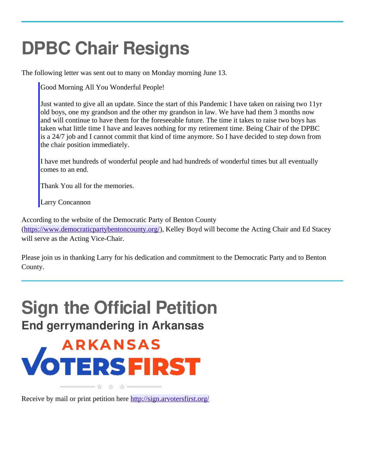# **DPBC Chair Resigns**

The following letter was sent out to many on Monday morning June 13.

Good Morning All You Wonderful People!

Just wanted to give all an update. Since the start of this Pandemic I have taken on raising two 11yr old boys, one my grandson and the other my grandson in law. We have had them 3 months now and will continue to have them for the foreseeable future. The time it takes to raise two boys has taken what little time I have and leaves nothing for my retirement time. Being Chair of the DPBC is a 24/7 job and I cannot commit that kind of time anymore. So I have decided to step down from the chair position immediately.

I have met hundreds of wonderful people and had hundreds of wonderful times but all eventually comes to an end.

Thank You all for the memories.

Larry Concannon

According to the website of the Democratic Party of Benton County

[\(https://www.democraticpartybentoncounty.org/](https://www.democraticpartybentoncounty.org/)), Kelley Boyd will become the Acting Chair and Ed Stacey will serve as the Acting Vice-Chair.

Please join us in thanking Larry for his dedication and commitment to the Democratic Party and to Benton County.

### **Sign the Official Petition End gerrymandering in Arkansas**

# **ARKANSAS VOTERSFIRST**

Receive by mail or print petition here <http://sign.arvotersfirst.org/>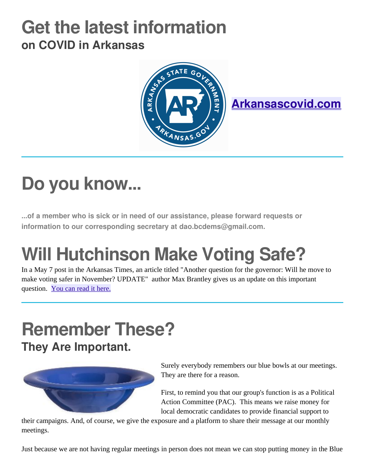### **Get the latest information on COVID in Arkansas**



**[Arkansascovid.com](http://arkansascovid.com/)**

# **Do you know...**

**...of a member who is sick or in need of our assistance, please forward requests or information to our corresponding secretary at dao.bcdems@gmail.com.**

# **Will Hutchinson Make Voting Safe?**

In a May 7 post in the Arkansas Times, an article titled "Another question for the governor: Will he move to make voting safer in November? UPDATE" author Max Brantley gives us an update on this important question. [You can read it here.](https://arktimes.com/arkansas-blog/2020/05/07/another-question-for-the-governor-will-he-move-to-make-voting-safer-in-november)

# **Remember These?**

**They Are Important.**



Surely everybody remembers our blue bowls at our meetings. They are there for a reason.

First, to remind you that our group's function is as a Political Action Committee (PAC). This means we raise money for local democratic candidates to provide financial support to

their campaigns. And, of course, we give the exposure and a platform to share their message at our monthly meetings.

Just because we are not having regular meetings in person does not mean we can stop putting money in the Blue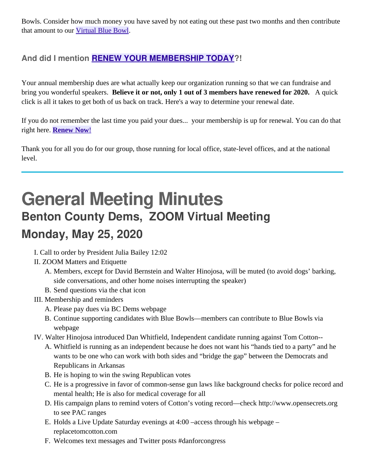Bowls. Consider how much money you have saved by not eating out these past two months and then contribute that amount to our [Virtual Blue Bowl](https://www.bcdems.org/blue-bowl-fund.html).

#### **And did I mention [RENEW YOUR MEMBERSHIP TODAY](https://www.bcdems.org/membership.html)?!**

Your annual membership dues are what actually keep our organization running so that we can fundraise and bring you wonderful speakers. **Believe it or not, only 1 out of 3 members have renewed for 2020.** A quick click is all it takes to get both of us back on track. Here's a way to determine your renewal date.

If you do not remember the last time you paid your dues... your membership is up for renewal. You can do that right here. **[Renew Now](https://www.bcdems.org/membership.html)[!](https://www.bcdems.org/membership.html)** 

Thank you for all you do for our group, those running for local office, state-level offices, and at the national level.

### **General Meeting Minutes Benton County Dems, ZOOM Virtual Meeting Monday, May 25, 2020**

- I. Call to order by President Julia Bailey 12:02
- II. ZOOM Matters and Etiquette
	- A. Members, except for David Bernstein and Walter Hinojosa, will be muted (to avoid dogs' barking, side conversations, and other home noises interrupting the speaker)
	- B. Send questions via the chat icon
- III. Membership and reminders
	- A. Please pay dues via BC Dems webpage
	- B. Continue supporting candidates with Blue Bowls—members can contribute to Blue Bowls via webpage
- IV. Walter Hinojosa introduced Dan Whitfield, Independent candidate running against Tom Cotton--
	- A. Whitfield is running as an independent because he does not want his "hands tied to a party" and he wants to be one who can work with both sides and "bridge the gap" between the Democrats and Republicans in Arkansas
	- B. He is hoping to win the swing Republican votes
	- C. He is a progressive in favor of common-sense gun laws like background checks for police record and mental health; He is also for medical coverage for all
	- D. His campaign plans to remind voters of Cotton's voting record—check http://www.opensecrets.org to see PAC ranges
	- E. Holds a Live Update Saturday evenings at 4:00 –access through his webpage replacetomcotton.com
	- F. Welcomes text messages and Twitter posts #danforcongress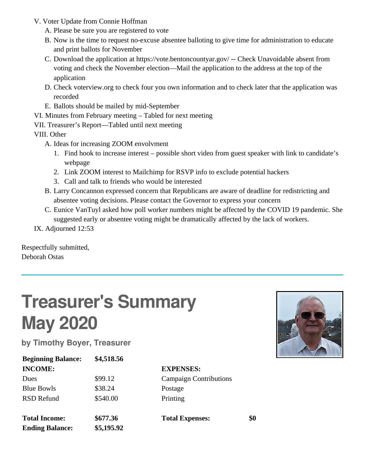- V. Voter Update from Connie Hoffman
	- A. Please be sure you are registered to vote
	- B. Now is the time to request no-excuse absentee balloting to give time for administration to educate and print ballots for November
	- C. Download the application at https://vote.bentoncountyar.gov/ -- Check Unavoidable absent from voting and check the November election—Mail the application to the address at the top of the application
	- D. Check voterview.org to check four you own information and to check later that the application was recorded
	- E. Ballots should be mailed by mid-September
- VI. Minutes from February meeting Tabled for next meeting
- VII. Treasurer's Report—Tabled until next meeting

VIII. Other

- A. Ideas for increasing ZOOM envolvment
	- 1. Find hook to increase interest possible short video from guest speaker with link to candidate's webpage
	- 2. Link ZOOM interest to Mailchimp for RSVP info to exclude potential hackers
	- 3. Call and talk to friends who would be interested
- B. Larry Concannon expressed concern that Republicans are aware of deadline for redistricting and absentee voting decisions. Please contact the Governor to express your concern
- C. Eunice VanTuyl asked how poll worker numbers might be affected by the COVID 19 pandemic. She suggested early or absentee voting might be dramatically affected by the lack of workers.

IX. Adjourned 12:53

Respectfully submitted, Deborah Ostas

# **Treasurer's Summary May 2020**

**by Timothy Boyer, Treasurer**

| <b>Beginning Balance:</b> | \$4,518.56 |
|---------------------------|------------|
| <b>INCOME:</b>            |            |
| <b>Dues</b>               | \$99.12    |
| <b>Blue Bowls</b>         | \$38.24    |
| RSD Refund                | \$540.00   |
|                           |            |
| <b>Total Income:</b>      | \$677.36   |
| <b>Ending Balance:</b>    | \$5,195.92 |

**INCOME: EXPENSES: Campaign Contributions** Postage Printing

**Total Expenses: \$0**